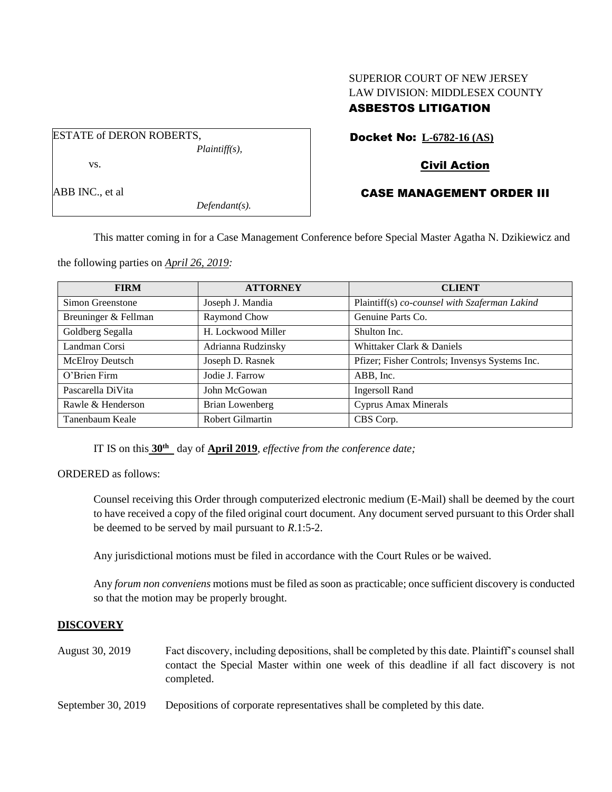# SUPERIOR COURT OF NEW JERSEY LAW DIVISION: MIDDLESEX COUNTY ASBESTOS LITIGATION

ESTATE of DERON ROBERTS, *Plaintiff(s),* vs.

ABB INC., et al

*Defendant(s).*

# Docket No: **L-6782-16 (AS)**

## Civil Action

## CASE MANAGEMENT ORDER III

This matter coming in for a Case Management Conference before Special Master Agatha N. Dzikiewicz and

the following parties on *April 26, 2019:*

| <b>FIRM</b>          | <b>ATTORNEY</b>         | <b>CLIENT</b>                                  |
|----------------------|-------------------------|------------------------------------------------|
| Simon Greenstone     | Joseph J. Mandia        | Plaintiff(s) co-counsel with Szaferman Lakind  |
| Breuninger & Fellman | Raymond Chow            | Genuine Parts Co.                              |
| Goldberg Segalla     | H. Lockwood Miller      | Shulton Inc.                                   |
| Landman Corsi        | Adrianna Rudzinsky      | Whittaker Clark & Daniels                      |
| McElroy Deutsch      | Joseph D. Rasnek        | Pfizer; Fisher Controls; Invensys Systems Inc. |
| O'Brien Firm         | Jodie J. Farrow         | ABB, Inc.                                      |
| Pascarella DiVita    | John McGowan            | <b>Ingersoll Rand</b>                          |
| Rawle & Henderson    | Brian Lowenberg         | <b>Cyprus Amax Minerals</b>                    |
| Tanenbaum Keale      | <b>Robert Gilmartin</b> | CBS Corp.                                      |

IT IS on this **30 th** day of **April 2019**, *effective from the conference date;*

ORDERED as follows:

Counsel receiving this Order through computerized electronic medium (E-Mail) shall be deemed by the court to have received a copy of the filed original court document. Any document served pursuant to this Order shall be deemed to be served by mail pursuant to *R*.1:5-2.

Any jurisdictional motions must be filed in accordance with the Court Rules or be waived.

Any *forum non conveniens* motions must be filed as soon as practicable; once sufficient discovery is conducted so that the motion may be properly brought.

#### **DISCOVERY**

August 30, 2019 Fact discovery, including depositions, shall be completed by this date. Plaintiff's counsel shall contact the Special Master within one week of this deadline if all fact discovery is not completed.

September 30, 2019 Depositions of corporate representatives shall be completed by this date.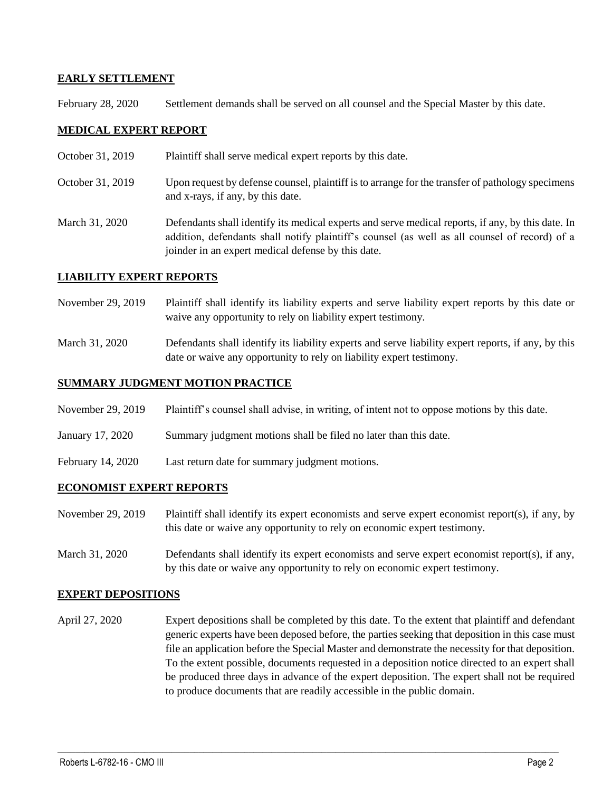## **EARLY SETTLEMENT**

February 28, 2020 Settlement demands shall be served on all counsel and the Special Master by this date.

## **MEDICAL EXPERT REPORT**

- October 31, 2019 Plaintiff shall serve medical expert reports by this date.
- October 31, 2019 Upon request by defense counsel, plaintiff is to arrange for the transfer of pathology specimens and x-rays, if any, by this date.
- March 31, 2020 Defendants shall identify its medical experts and serve medical reports, if any, by this date. In addition, defendants shall notify plaintiff's counsel (as well as all counsel of record) of a joinder in an expert medical defense by this date.

#### **LIABILITY EXPERT REPORTS**

- November 29, 2019 Plaintiff shall identify its liability experts and serve liability expert reports by this date or waive any opportunity to rely on liability expert testimony.
- March 31, 2020 Defendants shall identify its liability experts and serve liability expert reports, if any, by this date or waive any opportunity to rely on liability expert testimony.

### **SUMMARY JUDGMENT MOTION PRACTICE**

- November 29, 2019 Plaintiff's counsel shall advise, in writing, of intent not to oppose motions by this date.
- January 17, 2020 Summary judgment motions shall be filed no later than this date.
- February 14, 2020 Last return date for summary judgment motions.

#### **ECONOMIST EXPERT REPORTS**

- November 29, 2019 Plaintiff shall identify its expert economists and serve expert economist report(s), if any, by this date or waive any opportunity to rely on economic expert testimony.
- March 31, 2020 Defendants shall identify its expert economists and serve expert economist report(s), if any, by this date or waive any opportunity to rely on economic expert testimony.

#### **EXPERT DEPOSITIONS**

April 27, 2020 Expert depositions shall be completed by this date. To the extent that plaintiff and defendant generic experts have been deposed before, the parties seeking that deposition in this case must file an application before the Special Master and demonstrate the necessity for that deposition. To the extent possible, documents requested in a deposition notice directed to an expert shall be produced three days in advance of the expert deposition. The expert shall not be required to produce documents that are readily accessible in the public domain.

 $\_$  , and the set of the set of the set of the set of the set of the set of the set of the set of the set of the set of the set of the set of the set of the set of the set of the set of the set of the set of the set of th